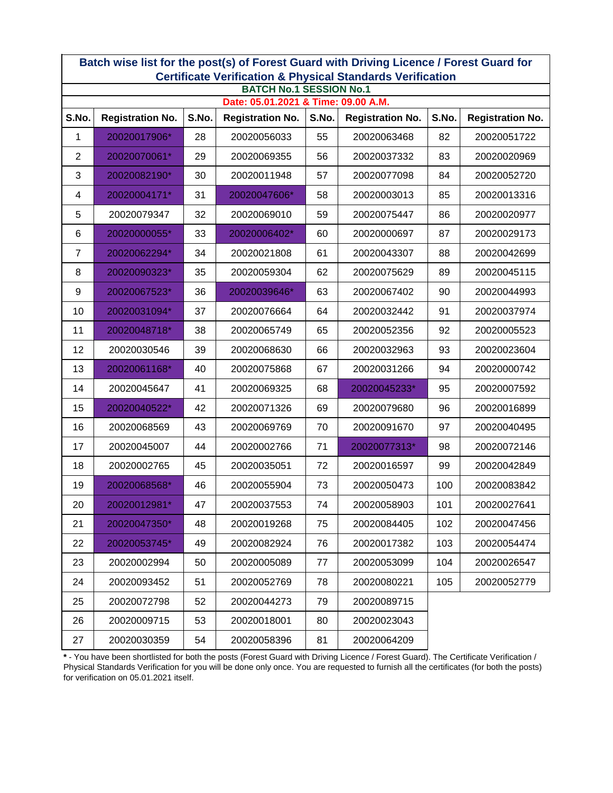|                                     | Batch wise list for the post(s) of Forest Guard with Driving Licence / Forest Guard for<br><b>Certificate Verification &amp; Physical Standards Verification</b> |       |                         |       |                         |       |                         |  |  |  |  |  |
|-------------------------------------|------------------------------------------------------------------------------------------------------------------------------------------------------------------|-------|-------------------------|-------|-------------------------|-------|-------------------------|--|--|--|--|--|
| <b>BATCH No.1 SESSION No.1</b>      |                                                                                                                                                                  |       |                         |       |                         |       |                         |  |  |  |  |  |
| Date: 05.01.2021 & Time: 09.00 A.M. |                                                                                                                                                                  |       |                         |       |                         |       |                         |  |  |  |  |  |
| S.No.                               | <b>Registration No.</b>                                                                                                                                          | S.No. | <b>Registration No.</b> | S.No. | <b>Registration No.</b> | S.No. | <b>Registration No.</b> |  |  |  |  |  |
| 1                                   | 20020017906*                                                                                                                                                     | 28    | 20020056033             | 55    | 20020063468             | 82    | 20020051722             |  |  |  |  |  |
| $\overline{2}$                      | 20020070061*                                                                                                                                                     | 29    | 20020069355             | 56    | 20020037332             | 83    | 20020020969             |  |  |  |  |  |
| 3                                   | 20020082190*                                                                                                                                                     | 30    | 20020011948             | 57    | 20020077098             | 84    | 20020052720             |  |  |  |  |  |
| 4                                   | 20020004171*                                                                                                                                                     | 31    | 20020047606*            | 58    | 20020003013             | 85    | 20020013316             |  |  |  |  |  |
| 5                                   | 20020079347                                                                                                                                                      | 32    | 20020069010             | 59    | 20020075447             | 86    | 20020020977             |  |  |  |  |  |
| 6                                   | 20020000055*                                                                                                                                                     | 33    | 20020006402*            | 60    | 20020000697             | 87    | 20020029173             |  |  |  |  |  |
| 7                                   | 20020062294*                                                                                                                                                     | 34    | 20020021808             | 61    | 20020043307             | 88    | 20020042699             |  |  |  |  |  |
| 8                                   | 20020090323*                                                                                                                                                     | 35    | 20020059304             | 62    | 20020075629             | 89    | 20020045115             |  |  |  |  |  |
| $\boldsymbol{9}$                    | 20020067523*                                                                                                                                                     | 36    | 20020039646*            | 63    | 20020067402             | 90    | 20020044993             |  |  |  |  |  |
| 10                                  | 20020031094*                                                                                                                                                     | 37    | 20020076664             | 64    | 20020032442             | 91    | 20020037974             |  |  |  |  |  |
| 11                                  | 20020048718*                                                                                                                                                     | 38    | 20020065749             | 65    | 20020052356             | 92    | 20020005523             |  |  |  |  |  |
| 12                                  | 20020030546                                                                                                                                                      | 39    | 20020068630             | 66    | 20020032963             | 93    | 20020023604             |  |  |  |  |  |
| 13                                  | 20020061168*                                                                                                                                                     | 40    | 20020075868             | 67    | 20020031266             | 94    | 20020000742             |  |  |  |  |  |
| 14                                  | 20020045647                                                                                                                                                      | 41    | 20020069325             | 68    | 20020045233*            | 95    | 20020007592             |  |  |  |  |  |
| 15                                  | 20020040522*                                                                                                                                                     | 42    | 20020071326             | 69    | 20020079680             | 96    | 20020016899             |  |  |  |  |  |
| 16                                  | 20020068569                                                                                                                                                      | 43    | 20020069769             | 70    | 20020091670             | 97    | 20020040495             |  |  |  |  |  |
| 17                                  | 20020045007                                                                                                                                                      | 44    | 20020002766             | 71    | 20020077313*            | 98    | 20020072146             |  |  |  |  |  |
| 18                                  | 20020002765                                                                                                                                                      | 45    | 20020035051             | 72    | 20020016597             | 99    | 20020042849             |  |  |  |  |  |
| 19                                  | 20020068568*                                                                                                                                                     | 46    | 20020055904             | 73    | 20020050473             | 100   | 20020083842             |  |  |  |  |  |
| 20                                  | 20020012981*                                                                                                                                                     | 47    | 20020037553             | 74    | 20020058903             | 101   | 20020027641             |  |  |  |  |  |
| 21                                  | 20020047350*                                                                                                                                                     | 48    | 20020019268             | 75    | 20020084405             | 102   | 20020047456             |  |  |  |  |  |
| 22                                  | 20020053745*                                                                                                                                                     | 49    | 20020082924             | 76    | 20020017382             | 103   | 20020054474             |  |  |  |  |  |
| 23                                  | 20020002994                                                                                                                                                      | 50    | 20020005089             | 77    | 20020053099             | 104   | 20020026547             |  |  |  |  |  |
| 24                                  | 20020093452                                                                                                                                                      | 51    | 20020052769             | 78    | 20020080221             | 105   | 20020052779             |  |  |  |  |  |
| 25                                  | 20020072798                                                                                                                                                      | 52    | 20020044273             | 79    | 20020089715             |       |                         |  |  |  |  |  |
| 26                                  | 20020009715                                                                                                                                                      | 53    | 20020018001             | 80    | 20020023043             |       |                         |  |  |  |  |  |
| 27                                  | 20020030359                                                                                                                                                      | 54    | 20020058396             | 81    | 20020064209             |       |                         |  |  |  |  |  |

\* - You have been shortlisted for both the posts (Forest Guard with Driving Licence / Forest Guard). The Certificate Verification / Physical Standards Verification for you will be done only once. You are requested to furnish all the certificates (for both the posts) for verification on 05.01.2021 itself.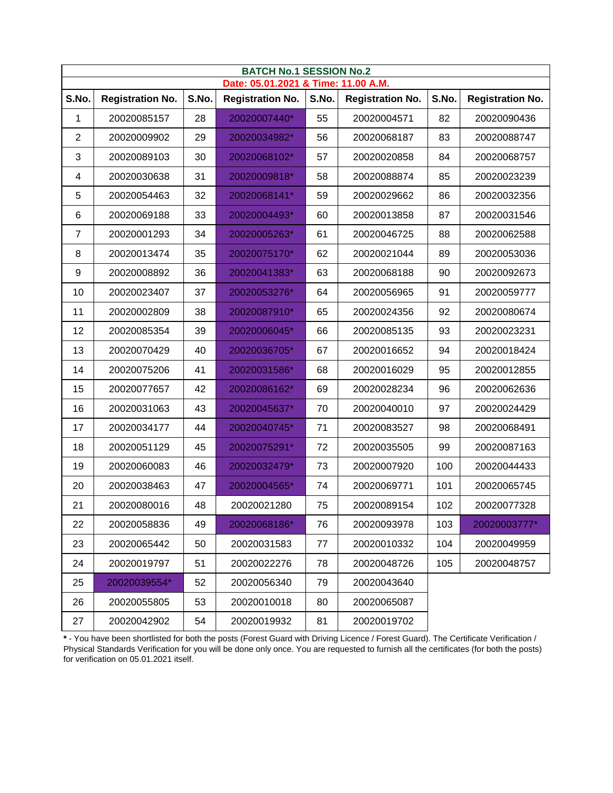|                | <b>BATCH No.1 SESSION No.2</b><br>Date: 05.01.2021 & Time: 11.00 A.M. |       |                         |       |                         |       |                         |  |  |  |  |
|----------------|-----------------------------------------------------------------------|-------|-------------------------|-------|-------------------------|-------|-------------------------|--|--|--|--|
| S.No.          |                                                                       | S.No. |                         | S.No. | <b>Registration No.</b> | S.No. |                         |  |  |  |  |
|                | <b>Registration No.</b>                                               |       | <b>Registration No.</b> |       |                         |       | <b>Registration No.</b> |  |  |  |  |
| 1              | 20020085157                                                           | 28    | 20020007440*            | 55    | 20020004571             | 82    | 20020090436             |  |  |  |  |
| $\overline{2}$ | 20020009902                                                           | 29    | 20020034982*            | 56    | 20020068187             | 83    | 20020088747             |  |  |  |  |
| 3              | 20020089103                                                           | 30    | 20020068102*            | 57    | 20020020858             | 84    | 20020068757             |  |  |  |  |
| 4              | 20020030638                                                           | 31    | 20020009818*            | 58    | 20020088874             | 85    | 20020023239             |  |  |  |  |
| 5              | 20020054463                                                           | 32    | 20020068141*            | 59    | 20020029662             | 86    | 20020032356             |  |  |  |  |
| 6              | 20020069188                                                           | 33    | 20020004493*            | 60    | 20020013858             | 87    | 20020031546             |  |  |  |  |
| 7              | 20020001293                                                           | 34    | 20020005263*            | 61    | 20020046725             | 88    | 20020062588             |  |  |  |  |
| 8              | 20020013474                                                           | 35    | 20020075170*            | 62    | 20020021044             | 89    | 20020053036             |  |  |  |  |
| 9              | 20020008892                                                           | 36    | 20020041383*            | 63    | 20020068188             | 90    | 20020092673             |  |  |  |  |
| 10             | 20020023407                                                           | 37    | 20020053276*            | 64    | 20020056965             | 91    | 20020059777             |  |  |  |  |
| 11             | 20020002809                                                           | 38    | 20020087910*            | 65    | 20020024356             | 92    | 20020080674             |  |  |  |  |
| 12             | 20020085354                                                           | 39    | 20020006045*            | 66    | 20020085135             | 93    | 20020023231             |  |  |  |  |
| 13             | 20020070429                                                           | 40    | 20020036705*            | 67    | 20020016652             | 94    | 20020018424             |  |  |  |  |
| 14             | 20020075206                                                           | 41    | 20020031586*            | 68    | 20020016029             | 95    | 20020012855             |  |  |  |  |
| 15             | 20020077657                                                           | 42    | 20020086162*            | 69    | 20020028234             | 96    | 20020062636             |  |  |  |  |
| 16             | 20020031063                                                           | 43    | 20020045637*            | 70    | 20020040010             | 97    | 20020024429             |  |  |  |  |
| 17             | 20020034177                                                           | 44    | 20020040745*            | 71    | 20020083527             | 98    | 20020068491             |  |  |  |  |
| 18             | 20020051129                                                           | 45    | 20020075291*            | 72    | 20020035505             | 99    | 20020087163             |  |  |  |  |
| 19             | 20020060083                                                           | 46    | 20020032479*            | 73    | 20020007920             | 100   | 20020044433             |  |  |  |  |
| 20             | 20020038463                                                           | 47    | 20020004565*            | 74    | 20020069771             | 101   | 20020065745             |  |  |  |  |
| 21             | 20020080016                                                           | 48    | 20020021280             | 75    | 20020089154             | 102   | 20020077328             |  |  |  |  |
| 22             | 20020058836                                                           | 49    | 20020068186*            | 76    | 20020093978             | 103   | 20020003777*            |  |  |  |  |
| 23             | 20020065442                                                           | 50    | 20020031583             | 77    | 20020010332             | 104   | 20020049959             |  |  |  |  |
| 24             | 20020019797                                                           | 51    | 20020022276             | 78    | 20020048726             | 105   | 20020048757             |  |  |  |  |
| 25             | 20020039554*                                                          | 52    | 20020056340             | 79    | 20020043640             |       |                         |  |  |  |  |
| 26             | 20020055805                                                           | 53    | 20020010018             | 80    | 20020065087             |       |                         |  |  |  |  |
| 27             | 20020042902                                                           | 54    | 20020019932             | 81    | 20020019702             |       |                         |  |  |  |  |

\*-You have been shortlisted for both the posts (Forest Guard with Driving Licence / Forest Guard). The Certificate Verification /<br>Physical Standards Verification for you will be done only once. You are requested to furnish for verification on 05.01.2021 itself.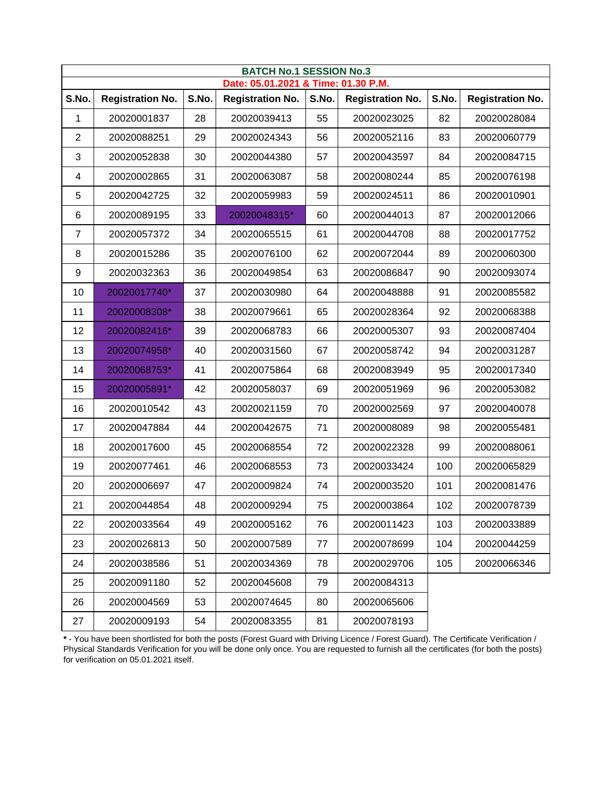|                  | <b>BATCH No.1 SESSION No.3</b><br>Date: 05.01.2021 & Time: 01.30 P.M. |       |                         |       |                         |       |                         |  |  |  |  |
|------------------|-----------------------------------------------------------------------|-------|-------------------------|-------|-------------------------|-------|-------------------------|--|--|--|--|
| S.No.            | <b>Registration No.</b>                                               | S.No. | <b>Registration No.</b> | S.No. | <b>Registration No.</b> | S.No. | <b>Registration No.</b> |  |  |  |  |
| 1                | 20020001837                                                           | 28    | 20020039413             | 55    | 20020023025             | 82    | 20020028084             |  |  |  |  |
| $\overline{2}$   | 20020088251                                                           | 29    | 20020024343             | 56    | 20020052116             | 83    | 20020060779             |  |  |  |  |
| 3                | 20020052838                                                           | 30    | 20020044380             | 57    | 20020043597             | 84    | 20020084715             |  |  |  |  |
| 4                | 20020002865                                                           | 31    | 20020063087             | 58    | 20020080244             | 85    | 20020076198             |  |  |  |  |
| 5                | 20020042725                                                           | 32    | 20020059983             | 59    | 20020024511             | 86    | 20020010901             |  |  |  |  |
| 6                | 20020089195                                                           | 33    | 20020048315*            | 60    | 20020044013             | 87    | 20020012066             |  |  |  |  |
| 7                | 20020057372                                                           | 34    | 20020065515             | 61    | 20020044708             | 88    | 20020017752             |  |  |  |  |
| 8                | 20020015286                                                           | 35    | 20020076100             | 62    | 20020072044             | 89    | 20020060300             |  |  |  |  |
| $\boldsymbol{9}$ | 20020032363                                                           | 36    | 20020049854             | 63    | 20020086847             | 90    | 20020093074             |  |  |  |  |
| 10               | 20020017740*                                                          | 37    | 20020030980             | 64    | 20020048888             | 91    | 20020085582             |  |  |  |  |
| 11               | 20020008308*                                                          | 38    | 20020079661             | 65    | 20020028364             | 92    | 20020068388             |  |  |  |  |
| 12               | 20020082416*                                                          | 39    | 20020068783             | 66    | 20020005307             | 93    | 20020087404             |  |  |  |  |
| 13               | 20020074958*                                                          | 40    | 20020031560             | 67    | 20020058742             | 94    | 20020031287             |  |  |  |  |
| 14               | 20020068753*                                                          | 41    | 20020075864             | 68    | 20020083949             | 95    | 20020017340             |  |  |  |  |
| 15               | 20020005891*                                                          | 42    | 20020058037             | 69    | 20020051969             | 96    | 20020053082             |  |  |  |  |
| 16               | 20020010542                                                           | 43    | 20020021159             | 70    | 20020002569             | 97    | 20020040078             |  |  |  |  |
| 17               | 20020047884                                                           | 44    | 20020042675             | 71    | 20020008089             | 98    | 20020055481             |  |  |  |  |
| 18               | 20020017600                                                           | 45    | 20020068554             | 72    | 20020022328             | 99    | 20020088061             |  |  |  |  |
| 19               | 20020077461                                                           | 46    | 20020068553             | 73    | 20020033424             | 100   | 20020065829             |  |  |  |  |
| 20               | 20020006697                                                           | 47    | 20020009824             | 74    | 20020003520             | 101   | 20020081476             |  |  |  |  |
| 21               | 20020044854                                                           | 48    | 20020009294             | 75    | 20020003864             | 102   | 20020078739             |  |  |  |  |
| 22               | 20020033564                                                           | 49    | 20020005162             | 76    | 20020011423             | 103   | 20020033889             |  |  |  |  |
| 23               | 20020026813                                                           | 50    | 20020007589             | 77    | 20020078699             | 104   | 20020044259             |  |  |  |  |
| 24               | 20020038586                                                           | 51    | 20020034369             | 78    | 20020029706             | 105   | 20020066346             |  |  |  |  |
| 25               | 20020091180                                                           | 52    | 20020045608             | 79    | 20020084313             |       |                         |  |  |  |  |
| 26               | 20020004569                                                           | 53    | 20020074645             | 80    | 20020065606             |       |                         |  |  |  |  |
| 27               | 20020009193                                                           | 54    | 20020083355             | 81    | 20020078193             |       |                         |  |  |  |  |

\*-You have been shortlisted for both the posts (Forest Guard with Driving Licence / Forest Guard). The Certificate Verification /<br>Physical Standards Verification for you will be done only once. You are requested to furnish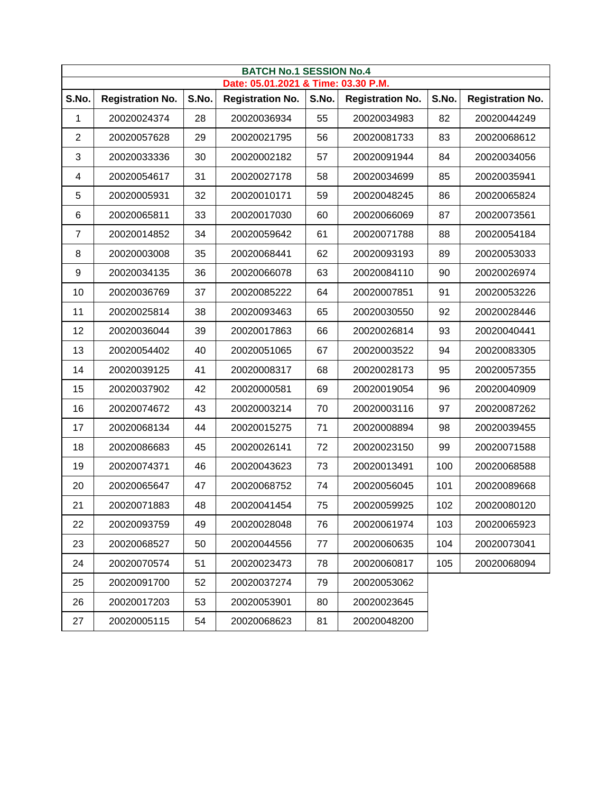|                  | <b>BATCH No.1 SESSION No.4</b><br>Date: 05.01.2021 & Time: 03.30 P.M. |       |                         |       |                         |       |                         |  |  |  |  |
|------------------|-----------------------------------------------------------------------|-------|-------------------------|-------|-------------------------|-------|-------------------------|--|--|--|--|
| S.No.            | <b>Registration No.</b>                                               | S.No. | <b>Registration No.</b> | S.No. | <b>Registration No.</b> | S.No. | <b>Registration No.</b> |  |  |  |  |
| 1                | 20020024374                                                           | 28    | 20020036934             | 55    | 20020034983             | 82    | 20020044249             |  |  |  |  |
| 2                | 20020057628                                                           | 29    | 20020021795             | 56    | 20020081733             | 83    | 20020068612             |  |  |  |  |
| 3                | 20020033336                                                           | 30    | 20020002182             | 57    | 20020091944             | 84    | 20020034056             |  |  |  |  |
| 4                | 20020054617                                                           | 31    | 20020027178             | 58    | 20020034699             | 85    | 20020035941             |  |  |  |  |
| 5                | 20020005931                                                           | 32    | 20020010171             | 59    | 20020048245             | 86    | 20020065824             |  |  |  |  |
| 6                | 20020065811                                                           | 33    | 20020017030             | 60    | 20020066069             | 87    | 20020073561             |  |  |  |  |
| 7                | 20020014852                                                           | 34    | 20020059642             | 61    | 20020071788             | 88    | 20020054184             |  |  |  |  |
| 8                | 20020003008                                                           | 35    | 20020068441             | 62    | 20020093193             | 89    | 20020053033             |  |  |  |  |
| $\boldsymbol{9}$ | 20020034135                                                           | 36    | 20020066078             | 63    | 20020084110             | 90    | 20020026974             |  |  |  |  |
| 10               | 20020036769                                                           | 37    | 20020085222             | 64    | 20020007851             | 91    | 20020053226             |  |  |  |  |
| 11               | 20020025814                                                           | 38    | 20020093463             | 65    | 20020030550             | 92    | 20020028446             |  |  |  |  |
| 12               | 20020036044                                                           | 39    | 20020017863             | 66    | 20020026814             | 93    | 20020040441             |  |  |  |  |
| 13               | 20020054402                                                           | 40    | 20020051065             | 67    | 20020003522             | 94    | 20020083305             |  |  |  |  |
| 14               | 20020039125                                                           | 41    | 20020008317             | 68    | 20020028173             | 95    | 20020057355             |  |  |  |  |
| 15               | 20020037902                                                           | 42    | 20020000581             | 69    | 20020019054             | 96    | 20020040909             |  |  |  |  |
| 16               | 20020074672                                                           | 43    | 20020003214             | 70    | 20020003116             | 97    | 20020087262             |  |  |  |  |
| 17               | 20020068134                                                           | 44    | 20020015275             | 71    | 20020008894             | 98    | 20020039455             |  |  |  |  |
| 18               | 20020086683                                                           | 45    | 20020026141             | 72    | 20020023150             | 99    | 20020071588             |  |  |  |  |
| 19               | 20020074371                                                           | 46    | 20020043623             | 73    | 20020013491             | 100   | 20020068588             |  |  |  |  |
| 20               | 20020065647                                                           | 47    | 20020068752             | 74    | 20020056045             | 101   | 20020089668             |  |  |  |  |
| 21               | 20020071883                                                           | 48    | 20020041454             | 75    | 20020059925             | 102   | 20020080120             |  |  |  |  |
| 22               | 20020093759                                                           | 49    | 20020028048             | 76    | 20020061974             | 103   | 20020065923             |  |  |  |  |
| 23               | 20020068527                                                           | 50    | 20020044556             | 77    | 20020060635             | 104   | 20020073041             |  |  |  |  |
| 24               | 20020070574                                                           | 51    | 20020023473             | 78    | 20020060817             | 105   | 20020068094             |  |  |  |  |
| 25               | 20020091700                                                           | 52    | 20020037274             | 79    | 20020053062             |       |                         |  |  |  |  |
| 26               | 20020017203                                                           | 53    | 20020053901             | 80    | 20020023645             |       |                         |  |  |  |  |
| 27               | 20020005115                                                           | 54    | 20020068623             | 81    | 20020048200             |       |                         |  |  |  |  |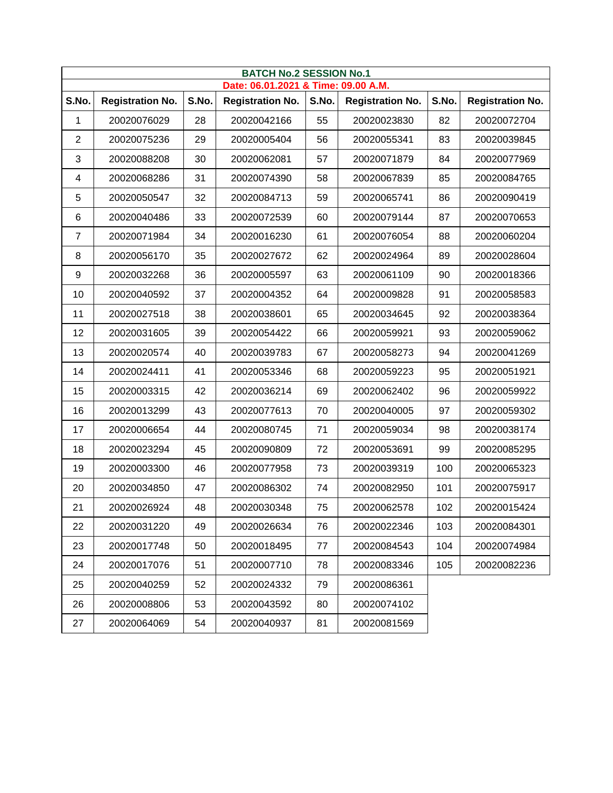|       | <b>BATCH No.2 SESSION No.1</b><br>Date: 06.01.2021 & Time: 09.00 A.M. |       |                         |       |                         |       |                         |  |  |  |  |
|-------|-----------------------------------------------------------------------|-------|-------------------------|-------|-------------------------|-------|-------------------------|--|--|--|--|
| S.No. | <b>Registration No.</b>                                               | S.No. | <b>Registration No.</b> | S.No. | <b>Registration No.</b> | S.No. | <b>Registration No.</b> |  |  |  |  |
| 1     | 20020076029                                                           | 28    | 20020042166             | 55    | 20020023830             | 82    | 20020072704             |  |  |  |  |
| 2     | 20020075236                                                           | 29    | 20020005404             | 56    | 20020055341             | 83    | 20020039845             |  |  |  |  |
| 3     | 20020088208                                                           | 30    | 20020062081             | 57    | 20020071879             | 84    | 20020077969             |  |  |  |  |
| 4     | 20020068286                                                           | 31    | 20020074390             | 58    | 20020067839             | 85    | 20020084765             |  |  |  |  |
| 5     | 20020050547                                                           | 32    | 20020084713             | 59    | 20020065741             | 86    | 20020090419             |  |  |  |  |
| 6     | 20020040486                                                           | 33    | 20020072539             | 60    | 20020079144             | 87    | 20020070653             |  |  |  |  |
| 7     | 20020071984                                                           | 34    | 20020016230             | 61    | 20020076054             | 88    | 20020060204             |  |  |  |  |
| 8     | 20020056170                                                           | 35    | 20020027672             | 62    | 20020024964             | 89    | 20020028604             |  |  |  |  |
| 9     | 20020032268                                                           | 36    | 20020005597             | 63    | 20020061109             | 90    | 20020018366             |  |  |  |  |
| 10    | 20020040592                                                           | 37    | 20020004352             | 64    | 20020009828             | 91    | 20020058583             |  |  |  |  |
| 11    | 20020027518                                                           | 38    | 20020038601             | 65    | 20020034645             | 92    | 20020038364             |  |  |  |  |
| 12    | 20020031605                                                           | 39    | 20020054422             | 66    | 20020059921             | 93    | 20020059062             |  |  |  |  |
| 13    | 20020020574                                                           | 40    | 20020039783             | 67    | 20020058273             | 94    | 20020041269             |  |  |  |  |
| 14    | 20020024411                                                           | 41    | 20020053346             | 68    | 20020059223             | 95    | 20020051921             |  |  |  |  |
| 15    | 20020003315                                                           | 42    | 20020036214             | 69    | 20020062402             | 96    | 20020059922             |  |  |  |  |
| 16    | 20020013299                                                           | 43    | 20020077613             | 70    | 20020040005             | 97    | 20020059302             |  |  |  |  |
| 17    | 20020006654                                                           | 44    | 20020080745             | 71    | 20020059034             | 98    | 20020038174             |  |  |  |  |
| 18    | 20020023294                                                           | 45    | 20020090809             | 72    | 20020053691             | 99    | 20020085295             |  |  |  |  |
| 19    | 20020003300                                                           | 46    | 20020077958             | 73    | 20020039319             | 100   | 20020065323             |  |  |  |  |
| 20    | 20020034850                                                           | 47    | 20020086302             | 74    | 20020082950             | 101   | 20020075917             |  |  |  |  |
| 21    | 20020026924                                                           | 48    | 20020030348             | 75    | 20020062578             | 102   | 20020015424             |  |  |  |  |
| 22    | 20020031220                                                           | 49    | 20020026634             | 76    | 20020022346             | 103   | 20020084301             |  |  |  |  |
| 23    | 20020017748                                                           | 50    | 20020018495             | 77    | 20020084543             | 104   | 20020074984             |  |  |  |  |
| 24    | 20020017076                                                           | 51    | 20020007710             | 78    | 20020083346             | 105   | 20020082236             |  |  |  |  |
| 25    | 20020040259                                                           | 52    | 20020024332             | 79    | 20020086361             |       |                         |  |  |  |  |
| 26    | 20020008806                                                           | 53    | 20020043592             | 80    | 20020074102             |       |                         |  |  |  |  |
| 27    | 20020064069                                                           | 54    | 20020040937             | 81    | 20020081569             |       |                         |  |  |  |  |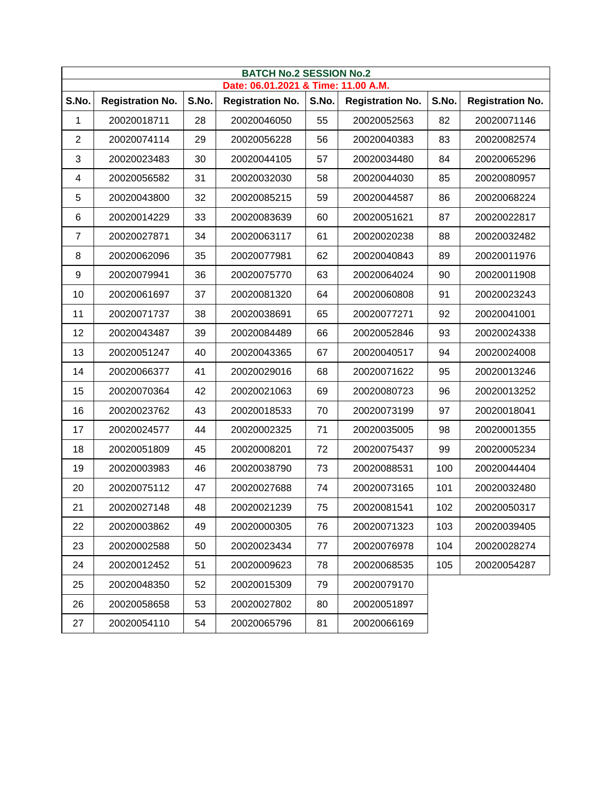|       | <b>BATCH No.2 SESSION No.2</b><br>Date: 06.01.2021 & Time: 11.00 A.M. |       |                         |       |                         |       |                         |  |  |  |  |
|-------|-----------------------------------------------------------------------|-------|-------------------------|-------|-------------------------|-------|-------------------------|--|--|--|--|
| S.No. | <b>Registration No.</b>                                               | S.No. | <b>Registration No.</b> | S.No. | <b>Registration No.</b> | S.No. | <b>Registration No.</b> |  |  |  |  |
| 1     | 20020018711                                                           | 28    | 20020046050             | 55    | 20020052563             | 82    | 20020071146             |  |  |  |  |
| 2     | 20020074114                                                           | 29    | 20020056228             | 56    | 20020040383             | 83    | 20020082574             |  |  |  |  |
| 3     | 20020023483                                                           | 30    | 20020044105             | 57    | 20020034480             | 84    | 20020065296             |  |  |  |  |
| 4     | 20020056582                                                           | 31    | 20020032030             | 58    | 20020044030             | 85    | 20020080957             |  |  |  |  |
| 5     | 20020043800                                                           | 32    | 20020085215             | 59    | 20020044587             | 86    | 20020068224             |  |  |  |  |
| 6     | 20020014229                                                           | 33    | 20020083639             | 60    | 20020051621             | 87    | 20020022817             |  |  |  |  |
| 7     | 20020027871                                                           | 34    | 20020063117             | 61    | 20020020238             | 88    | 20020032482             |  |  |  |  |
| 8     | 20020062096                                                           | 35    | 20020077981             | 62    | 20020040843             | 89    | 20020011976             |  |  |  |  |
| 9     | 20020079941                                                           | 36    | 20020075770             | 63    | 20020064024             | 90    | 20020011908             |  |  |  |  |
| 10    | 20020061697                                                           | 37    | 20020081320             | 64    | 20020060808             | 91    | 20020023243             |  |  |  |  |
| 11    | 20020071737                                                           | 38    | 20020038691             | 65    | 20020077271             | 92    | 20020041001             |  |  |  |  |
| 12    | 20020043487                                                           | 39    | 20020084489             | 66    | 20020052846             | 93    | 20020024338             |  |  |  |  |
| 13    | 20020051247                                                           | 40    | 20020043365             | 67    | 20020040517             | 94    | 20020024008             |  |  |  |  |
| 14    | 20020066377                                                           | 41    | 20020029016             | 68    | 20020071622             | 95    | 20020013246             |  |  |  |  |
| 15    | 20020070364                                                           | 42    | 20020021063             | 69    | 20020080723             | 96    | 20020013252             |  |  |  |  |
| 16    | 20020023762                                                           | 43    | 20020018533             | 70    | 20020073199             | 97    | 20020018041             |  |  |  |  |
| 17    | 20020024577                                                           | 44    | 20020002325             | 71    | 20020035005             | 98    | 20020001355             |  |  |  |  |
| 18    | 20020051809                                                           | 45    | 20020008201             | 72    | 20020075437             | 99    | 20020005234             |  |  |  |  |
| 19    | 20020003983                                                           | 46    | 20020038790             | 73    | 20020088531             | 100   | 20020044404             |  |  |  |  |
| 20    | 20020075112                                                           | 47    | 20020027688             | 74    | 20020073165             | 101   | 20020032480             |  |  |  |  |
| 21    | 20020027148                                                           | 48    | 20020021239             | 75    | 20020081541             | 102   | 20020050317             |  |  |  |  |
| 22    | 20020003862                                                           | 49    | 20020000305             | 76    | 20020071323             | 103   | 20020039405             |  |  |  |  |
| 23    | 20020002588                                                           | 50    | 20020023434             | 77    | 20020076978             | 104   | 20020028274             |  |  |  |  |
| 24    | 20020012452                                                           | 51    | 20020009623             | 78    | 20020068535             | 105   | 20020054287             |  |  |  |  |
| 25    | 20020048350                                                           | 52    | 20020015309             | 79    | 20020079170             |       |                         |  |  |  |  |
| 26    | 20020058658                                                           | 53    | 20020027802             | 80    | 20020051897             |       |                         |  |  |  |  |
| 27    | 20020054110                                                           | 54    | 20020065796             | 81    | 20020066169             |       |                         |  |  |  |  |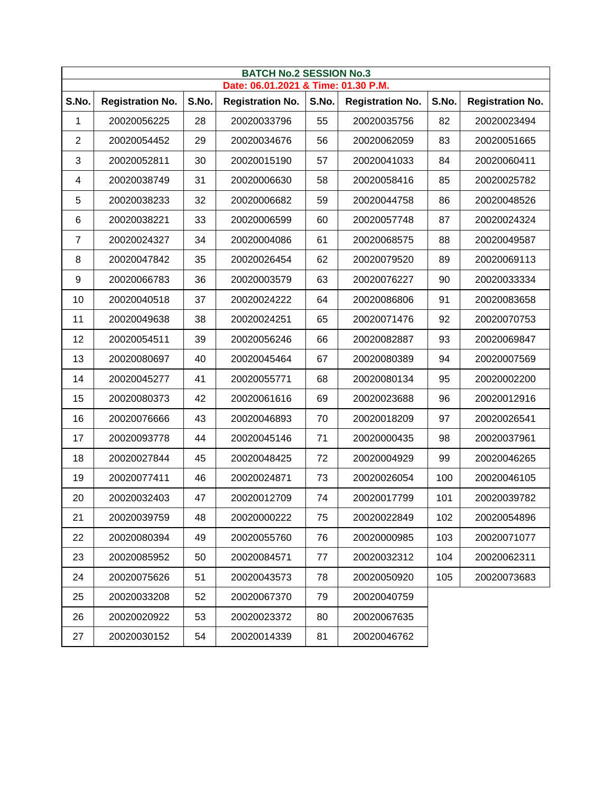|                | <b>BATCH No.2 SESSION No.3</b><br>Date: 06.01.2021 & Time: 01.30 P.M. |       |                         |       |                         |       |                         |  |  |  |  |
|----------------|-----------------------------------------------------------------------|-------|-------------------------|-------|-------------------------|-------|-------------------------|--|--|--|--|
| S.No.          | <b>Registration No.</b>                                               | S.No. | <b>Registration No.</b> | S.No. | <b>Registration No.</b> | S.No. | <b>Registration No.</b> |  |  |  |  |
| 1              | 20020056225                                                           | 28    | 20020033796             | 55    | 20020035756             | 82    | 20020023494             |  |  |  |  |
| $\overline{2}$ | 20020054452                                                           | 29    | 20020034676             | 56    | 20020062059             | 83    | 20020051665             |  |  |  |  |
| 3              | 20020052811                                                           | 30    | 20020015190             | 57    | 20020041033             | 84    | 20020060411             |  |  |  |  |
| 4              | 20020038749                                                           | 31    | 20020006630             | 58    | 20020058416             | 85    | 20020025782             |  |  |  |  |
| 5              | 20020038233                                                           | 32    | 20020006682             | 59    | 20020044758             | 86    | 20020048526             |  |  |  |  |
| 6              | 20020038221                                                           | 33    | 20020006599             | 60    | 20020057748             | 87    | 20020024324             |  |  |  |  |
| 7              | 20020024327                                                           | 34    | 20020004086             | 61    | 20020068575             | 88    | 20020049587             |  |  |  |  |
| 8              | 20020047842                                                           | 35    | 20020026454             | 62    | 20020079520             | 89    | 20020069113             |  |  |  |  |
| 9              | 20020066783                                                           | 36    | 20020003579             | 63    | 20020076227             | 90    | 20020033334             |  |  |  |  |
| 10             | 20020040518                                                           | 37    | 20020024222             | 64    | 20020086806             | 91    | 20020083658             |  |  |  |  |
| 11             | 20020049638                                                           | 38    | 20020024251             | 65    | 20020071476             | 92    | 20020070753             |  |  |  |  |
| 12             | 20020054511                                                           | 39    | 20020056246             | 66    | 20020082887             | 93    | 20020069847             |  |  |  |  |
| 13             | 20020080697                                                           | 40    | 20020045464             | 67    | 20020080389             | 94    | 20020007569             |  |  |  |  |
| 14             | 20020045277                                                           | 41    | 20020055771             | 68    | 20020080134             | 95    | 20020002200             |  |  |  |  |
| 15             | 20020080373                                                           | 42    | 20020061616             | 69    | 20020023688             | 96    | 20020012916             |  |  |  |  |
| 16             | 20020076666                                                           | 43    | 20020046893             | 70    | 20020018209             | 97    | 20020026541             |  |  |  |  |
| 17             | 20020093778                                                           | 44    | 20020045146             | 71    | 20020000435             | 98    | 20020037961             |  |  |  |  |
| 18             | 20020027844                                                           | 45    | 20020048425             | 72    | 20020004929             | 99    | 20020046265             |  |  |  |  |
| 19             | 20020077411                                                           | 46    | 20020024871             | 73    | 20020026054             | 100   | 20020046105             |  |  |  |  |
| 20             | 20020032403                                                           | 47    | 20020012709             | 74    | 20020017799             | 101   | 20020039782             |  |  |  |  |
| 21             | 20020039759                                                           | 48    | 20020000222             | 75    | 20020022849             | 102   | 20020054896             |  |  |  |  |
| 22             | 20020080394                                                           | 49    | 20020055760             | 76    | 20020000985             | 103   | 20020071077             |  |  |  |  |
| 23             | 20020085952                                                           | 50    | 20020084571             | 77    | 20020032312             | 104   | 20020062311             |  |  |  |  |
| 24             | 20020075626                                                           | 51    | 20020043573             | 78    | 20020050920             | 105   | 20020073683             |  |  |  |  |
| 25             | 20020033208                                                           | 52    | 20020067370             | 79    | 20020040759             |       |                         |  |  |  |  |
| 26             | 20020020922                                                           | 53    | 20020023372             | 80    | 20020067635             |       |                         |  |  |  |  |
| 27             | 20020030152                                                           | 54    | 20020014339             | 81    | 20020046762             |       |                         |  |  |  |  |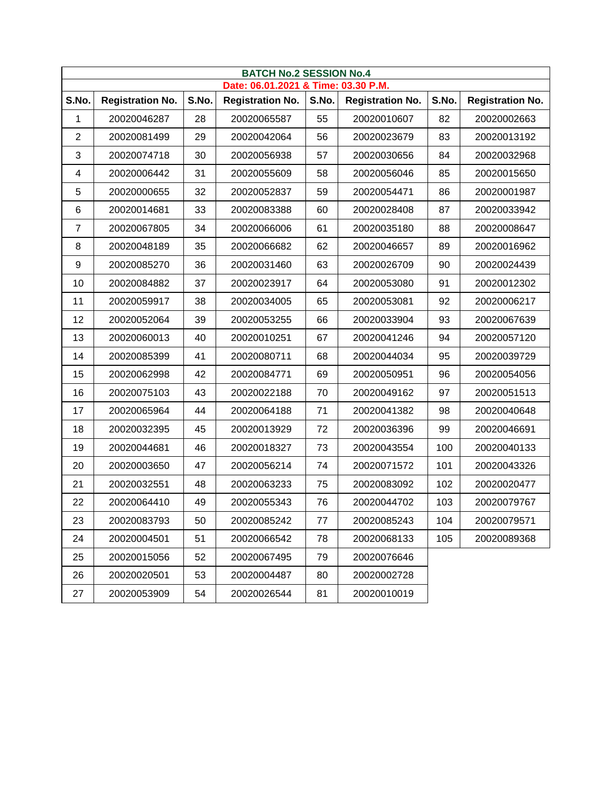| <b>BATCH No.2 SESSION No.4</b> |                         |       |                                     |       |                         |       |                         |  |  |  |
|--------------------------------|-------------------------|-------|-------------------------------------|-------|-------------------------|-------|-------------------------|--|--|--|
|                                |                         |       | Date: 06.01.2021 & Time: 03.30 P.M. |       |                         |       |                         |  |  |  |
| S.No.                          | <b>Registration No.</b> | S.No. | <b>Registration No.</b>             | S.No. | <b>Registration No.</b> | S.No. | <b>Registration No.</b> |  |  |  |
| 1                              | 20020046287             | 28    | 20020065587                         | 55    | 20020010607             | 82    | 20020002663             |  |  |  |
| $\overline{2}$                 | 20020081499             | 29    | 20020042064                         | 56    | 20020023679             | 83    | 20020013192             |  |  |  |
| 3                              | 20020074718             | 30    | 20020056938                         | 57    | 20020030656             | 84    | 20020032968             |  |  |  |
| 4                              | 20020006442             | 31    | 20020055609                         | 58    | 20020056046             | 85    | 20020015650             |  |  |  |
| 5                              | 20020000655             | 32    | 20020052837                         | 59    | 20020054471             | 86    | 20020001987             |  |  |  |
| 6                              | 20020014681             | 33    | 20020083388                         | 60    | 20020028408             | 87    | 20020033942             |  |  |  |
| $\overline{7}$                 | 20020067805             | 34    | 20020066006                         | 61    | 20020035180             | 88    | 20020008647             |  |  |  |
| 8                              | 20020048189             | 35    | 20020066682                         | 62    | 20020046657             | 89    | 20020016962             |  |  |  |
| 9                              | 20020085270             | 36    | 20020031460                         | 63    | 20020026709             | 90    | 20020024439             |  |  |  |
| 10                             | 20020084882             | 37    | 20020023917                         | 64    | 20020053080             | 91    | 20020012302             |  |  |  |
| 11                             | 20020059917             | 38    | 20020034005                         | 65    | 20020053081             | 92    | 20020006217             |  |  |  |
| 12                             | 20020052064             | 39    | 20020053255                         | 66    | 20020033904             | 93    | 20020067639             |  |  |  |
| 13                             | 20020060013             | 40    | 20020010251                         | 67    | 20020041246             | 94    | 20020057120             |  |  |  |
| 14                             | 20020085399             | 41    | 20020080711                         | 68    | 20020044034             | 95    | 20020039729             |  |  |  |
| 15                             | 20020062998             | 42    | 20020084771                         | 69    | 20020050951             | 96    | 20020054056             |  |  |  |
| 16                             | 20020075103             | 43    | 20020022188                         | 70    | 20020049162             | 97    | 20020051513             |  |  |  |
| 17                             | 20020065964             | 44    | 20020064188                         | 71    | 20020041382             | 98    | 20020040648             |  |  |  |
| 18                             | 20020032395             | 45    | 20020013929                         | 72    | 20020036396             | 99    | 20020046691             |  |  |  |
| 19                             | 20020044681             | 46    | 20020018327                         | 73    | 20020043554             | 100   | 20020040133             |  |  |  |
| 20                             | 20020003650             | 47    | 20020056214                         | 74    | 20020071572             | 101   | 20020043326             |  |  |  |
| 21                             | 20020032551             | 48    | 20020063233                         | 75    | 20020083092             | 102   | 20020020477             |  |  |  |
| 22                             | 20020064410             | 49    | 20020055343                         | 76    | 20020044702             | 103   | 20020079767             |  |  |  |
| 23                             | 20020083793             | 50    | 20020085242                         | 77    | 20020085243             | 104   | 20020079571             |  |  |  |
| 24                             | 20020004501             | 51    | 20020066542                         | 78    | 20020068133             | 105   | 20020089368             |  |  |  |
| 25                             | 20020015056             | 52    | 20020067495                         | 79    | 20020076646             |       |                         |  |  |  |
| 26                             | 20020020501             | 53    | 20020004487                         | 80    | 20020002728             |       |                         |  |  |  |
| 27                             | 20020053909             | 54    | 20020026544                         | 81    | 20020010019             |       |                         |  |  |  |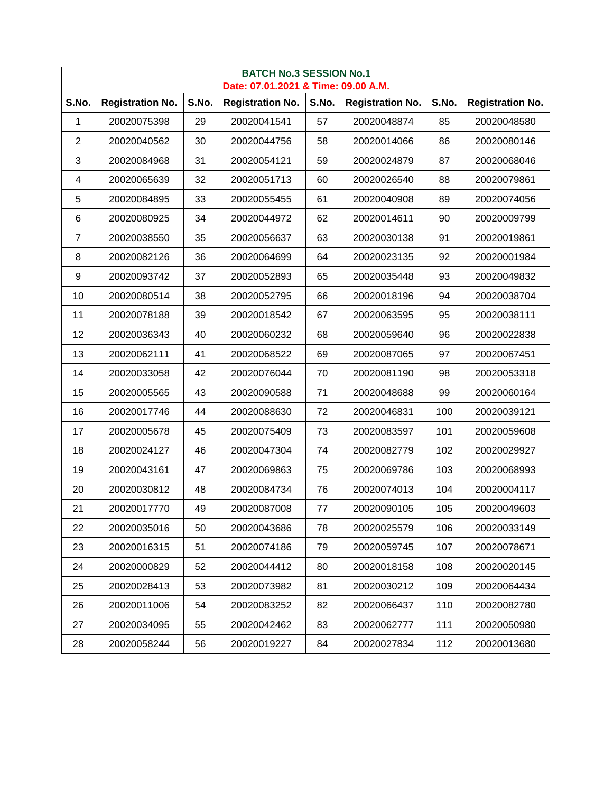|                | <b>BATCH No.3 SESSION No.1</b><br>Date: 07.01.2021 & Time: 09.00 A.M. |       |                         |       |                         |       |                         |  |  |  |  |
|----------------|-----------------------------------------------------------------------|-------|-------------------------|-------|-------------------------|-------|-------------------------|--|--|--|--|
| S.No.          | <b>Registration No.</b>                                               | S.No. | <b>Registration No.</b> | S.No. | <b>Registration No.</b> | S.No. | <b>Registration No.</b> |  |  |  |  |
| 1              | 20020075398                                                           | 29    | 20020041541             | 57    | 20020048874             | 85    | 20020048580             |  |  |  |  |
| $\overline{2}$ | 20020040562                                                           | 30    | 20020044756             | 58    | 20020014066             | 86    | 20020080146             |  |  |  |  |
| 3              | 20020084968                                                           | 31    | 20020054121             | 59    | 20020024879             | 87    | 20020068046             |  |  |  |  |
| 4              | 20020065639                                                           | 32    | 20020051713             | 60    | 20020026540             | 88    | 20020079861             |  |  |  |  |
| 5              | 20020084895                                                           | 33    | 20020055455             | 61    | 20020040908             | 89    | 20020074056             |  |  |  |  |
| 6              | 20020080925                                                           | 34    | 20020044972             | 62    | 20020014611             | 90    | 20020009799             |  |  |  |  |
| 7              | 20020038550                                                           | 35    | 20020056637             | 63    | 20020030138             | 91    | 20020019861             |  |  |  |  |
| 8              | 20020082126                                                           | 36    | 20020064699             | 64    | 20020023135             | 92    | 20020001984             |  |  |  |  |
| 9              | 20020093742                                                           | 37    | 20020052893             | 65    | 20020035448             | 93    | 20020049832             |  |  |  |  |
| 10             | 20020080514                                                           | 38    | 20020052795             | 66    | 20020018196             | 94    | 20020038704             |  |  |  |  |
| 11             | 20020078188                                                           | 39    | 20020018542             | 67    | 20020063595             | 95    | 20020038111             |  |  |  |  |
| 12             | 20020036343                                                           | 40    | 20020060232             | 68    | 20020059640             | 96    | 20020022838             |  |  |  |  |
| 13             | 20020062111                                                           | 41    | 20020068522             | 69    | 20020087065             | 97    | 20020067451             |  |  |  |  |
| 14             | 20020033058                                                           | 42    | 20020076044             | 70    | 20020081190             | 98    | 20020053318             |  |  |  |  |
| 15             | 20020005565                                                           | 43    | 20020090588             | 71    | 20020048688             | 99    | 20020060164             |  |  |  |  |
| 16             | 20020017746                                                           | 44    | 20020088630             | 72    | 20020046831             | 100   | 20020039121             |  |  |  |  |
| 17             | 20020005678                                                           | 45    | 20020075409             | 73    | 20020083597             | 101   | 20020059608             |  |  |  |  |
| 18             | 20020024127                                                           | 46    | 20020047304             | 74    | 20020082779             | 102   | 20020029927             |  |  |  |  |
| 19             | 20020043161                                                           | 47    | 20020069863             | 75    | 20020069786             | 103   | 20020068993             |  |  |  |  |
| 20             | 20020030812                                                           | 48    | 20020084734             | 76    | 20020074013             | 104   | 20020004117             |  |  |  |  |
| 21             | 20020017770                                                           | 49    | 20020087008             | 77    | 20020090105             | 105   | 20020049603             |  |  |  |  |
| 22             | 20020035016                                                           | 50    | 20020043686             | 78    | 20020025579             | 106   | 20020033149             |  |  |  |  |
| 23             | 20020016315                                                           | 51    | 20020074186             | 79    | 20020059745             | 107   | 20020078671             |  |  |  |  |
| 24             | 20020000829                                                           | 52    | 20020044412             | 80    | 20020018158             | 108   | 20020020145             |  |  |  |  |
| 25             | 20020028413                                                           | 53    | 20020073982             | 81    | 20020030212             | 109   | 20020064434             |  |  |  |  |
| 26             | 20020011006                                                           | 54    | 20020083252             | 82    | 20020066437             | 110   | 20020082780             |  |  |  |  |
| 27             | 20020034095                                                           | 55    | 20020042462             | 83    | 20020062777             | 111   | 20020050980             |  |  |  |  |
| 28             | 20020058244                                                           | 56    | 20020019227             | 84    | 20020027834             | 112   | 20020013680             |  |  |  |  |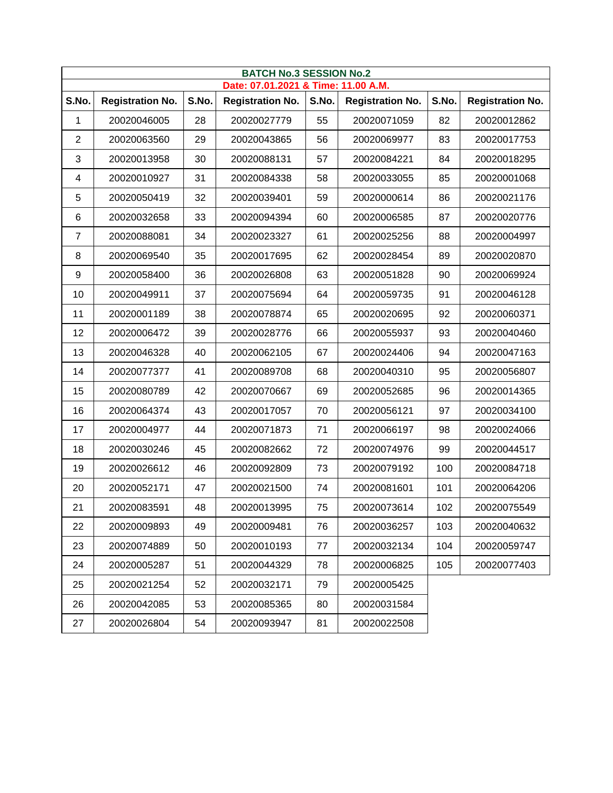|                  | <b>BATCH No.3 SESSION No.2</b><br>Date: 07.01.2021 & Time: 11.00 A.M. |       |                         |       |                         |       |                         |  |  |  |  |
|------------------|-----------------------------------------------------------------------|-------|-------------------------|-------|-------------------------|-------|-------------------------|--|--|--|--|
| S.No.            | <b>Registration No.</b>                                               | S.No. | <b>Registration No.</b> | S.No. | <b>Registration No.</b> | S.No. | <b>Registration No.</b> |  |  |  |  |
| 1                | 20020046005                                                           | 28    | 20020027779             | 55    | 20020071059             | 82    | 20020012862             |  |  |  |  |
| 2                | 20020063560                                                           | 29    | 20020043865             | 56    | 20020069977             | 83    | 20020017753             |  |  |  |  |
| 3                | 20020013958                                                           | 30    | 20020088131             | 57    | 20020084221             | 84    | 20020018295             |  |  |  |  |
| 4                | 20020010927                                                           | 31    | 20020084338             | 58    | 20020033055             | 85    | 20020001068             |  |  |  |  |
| 5                | 20020050419                                                           | 32    | 20020039401             | 59    | 20020000614             | 86    | 20020021176             |  |  |  |  |
| 6                | 20020032658                                                           | 33    | 20020094394             | 60    | 20020006585             | 87    | 20020020776             |  |  |  |  |
| 7                | 20020088081                                                           | 34    | 20020023327             | 61    | 20020025256             | 88    | 20020004997             |  |  |  |  |
| 8                | 20020069540                                                           | 35    | 20020017695             | 62    | 20020028454             | 89    | 20020020870             |  |  |  |  |
| $\boldsymbol{9}$ | 20020058400                                                           | 36    | 20020026808             | 63    | 20020051828             | 90    | 20020069924             |  |  |  |  |
| 10               | 20020049911                                                           | 37    | 20020075694             | 64    | 20020059735             | 91    | 20020046128             |  |  |  |  |
| 11               | 20020001189                                                           | 38    | 20020078874             | 65    | 20020020695             | 92    | 20020060371             |  |  |  |  |
| 12               | 20020006472                                                           | 39    | 20020028776             | 66    | 20020055937             | 93    | 20020040460             |  |  |  |  |
| 13               | 20020046328                                                           | 40    | 20020062105             | 67    | 20020024406             | 94    | 20020047163             |  |  |  |  |
| 14               | 20020077377                                                           | 41    | 20020089708             | 68    | 20020040310             | 95    | 20020056807             |  |  |  |  |
| 15               | 20020080789                                                           | 42    | 20020070667             | 69    | 20020052685             | 96    | 20020014365             |  |  |  |  |
| 16               | 20020064374                                                           | 43    | 20020017057             | 70    | 20020056121             | 97    | 20020034100             |  |  |  |  |
| 17               | 20020004977                                                           | 44    | 20020071873             | 71    | 20020066197             | 98    | 20020024066             |  |  |  |  |
| 18               | 20020030246                                                           | 45    | 20020082662             | 72    | 20020074976             | 99    | 20020044517             |  |  |  |  |
| 19               | 20020026612                                                           | 46    | 20020092809             | 73    | 20020079192             | 100   | 20020084718             |  |  |  |  |
| 20               | 20020052171                                                           | 47    | 20020021500             | 74    | 20020081601             | 101   | 20020064206             |  |  |  |  |
| 21               | 20020083591                                                           | 48    | 20020013995             | 75    | 20020073614             | 102   | 20020075549             |  |  |  |  |
| 22               | 20020009893                                                           | 49    | 20020009481             | 76    | 20020036257             | 103   | 20020040632             |  |  |  |  |
| 23               | 20020074889                                                           | 50    | 20020010193             | 77    | 20020032134             | 104   | 20020059747             |  |  |  |  |
| 24               | 20020005287                                                           | 51    | 20020044329             | 78    | 20020006825             | 105   | 20020077403             |  |  |  |  |
| 25               | 20020021254                                                           | 52    | 20020032171             | 79    | 20020005425             |       |                         |  |  |  |  |
| 26               | 20020042085                                                           | 53    | 20020085365             | 80    | 20020031584             |       |                         |  |  |  |  |
| 27               | 20020026804                                                           | 54    | 20020093947             | 81    | 20020022508             |       |                         |  |  |  |  |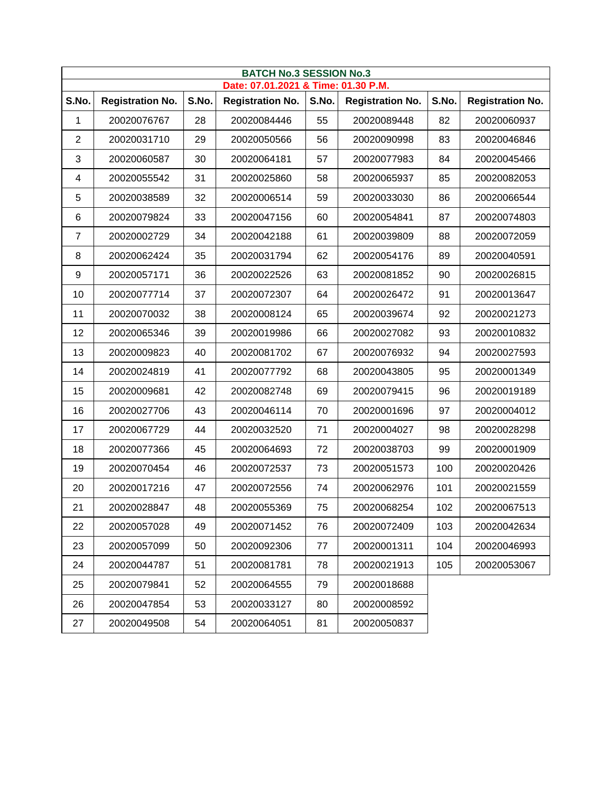|       | <b>BATCH No.3 SESSION No.3</b><br>Date: 07.01.2021 & Time: 01.30 P.M. |       |                         |       |                         |       |                         |  |  |  |  |
|-------|-----------------------------------------------------------------------|-------|-------------------------|-------|-------------------------|-------|-------------------------|--|--|--|--|
| S.No. | <b>Registration No.</b>                                               | S.No. | <b>Registration No.</b> | S.No. | <b>Registration No.</b> | S.No. | <b>Registration No.</b> |  |  |  |  |
| 1     | 20020076767                                                           | 28    | 20020084446             | 55    | 20020089448             | 82    | 20020060937             |  |  |  |  |
| 2     | 20020031710                                                           | 29    | 20020050566             | 56    | 20020090998             | 83    | 20020046846             |  |  |  |  |
| 3     | 20020060587                                                           | 30    | 20020064181             | 57    | 20020077983             | 84    | 20020045466             |  |  |  |  |
| 4     | 20020055542                                                           | 31    | 20020025860             | 58    | 20020065937             | 85    | 20020082053             |  |  |  |  |
| 5     | 20020038589                                                           | 32    | 20020006514             | 59    | 20020033030             | 86    | 20020066544             |  |  |  |  |
| 6     | 20020079824                                                           | 33    | 20020047156             | 60    | 20020054841             | 87    | 20020074803             |  |  |  |  |
| 7     | 20020002729                                                           | 34    | 20020042188             | 61    | 20020039809             | 88    | 20020072059             |  |  |  |  |
| 8     | 20020062424                                                           | 35    | 20020031794             | 62    | 20020054176             | 89    | 20020040591             |  |  |  |  |
| 9     | 20020057171                                                           | 36    | 20020022526             | 63    | 20020081852             | 90    | 20020026815             |  |  |  |  |
| 10    | 20020077714                                                           | 37    | 20020072307             | 64    | 20020026472             | 91    | 20020013647             |  |  |  |  |
| 11    | 20020070032                                                           | 38    | 20020008124             | 65    | 20020039674             | 92    | 20020021273             |  |  |  |  |
| 12    | 20020065346                                                           | 39    | 20020019986             | 66    | 20020027082             | 93    | 20020010832             |  |  |  |  |
| 13    | 20020009823                                                           | 40    | 20020081702             | 67    | 20020076932             | 94    | 20020027593             |  |  |  |  |
| 14    | 20020024819                                                           | 41    | 20020077792             | 68    | 20020043805             | 95    | 20020001349             |  |  |  |  |
| 15    | 20020009681                                                           | 42    | 20020082748             | 69    | 20020079415             | 96    | 20020019189             |  |  |  |  |
| 16    | 20020027706                                                           | 43    | 20020046114             | 70    | 20020001696             | 97    | 20020004012             |  |  |  |  |
| 17    | 20020067729                                                           | 44    | 20020032520             | 71    | 20020004027             | 98    | 20020028298             |  |  |  |  |
| 18    | 20020077366                                                           | 45    | 20020064693             | 72    | 20020038703             | 99    | 20020001909             |  |  |  |  |
| 19    | 20020070454                                                           | 46    | 20020072537             | 73    | 20020051573             | 100   | 20020020426             |  |  |  |  |
| 20    | 20020017216                                                           | 47    | 20020072556             | 74    | 20020062976             | 101   | 20020021559             |  |  |  |  |
| 21    | 20020028847                                                           | 48    | 20020055369             | 75    | 20020068254             | 102   | 20020067513             |  |  |  |  |
| 22    | 20020057028                                                           | 49    | 20020071452             | 76    | 20020072409             | 103   | 20020042634             |  |  |  |  |
| 23    | 20020057099                                                           | 50    | 20020092306             | 77    | 20020001311             | 104   | 20020046993             |  |  |  |  |
| 24    | 20020044787                                                           | 51    | 20020081781             | 78    | 20020021913             | 105   | 20020053067             |  |  |  |  |
| 25    | 20020079841                                                           | 52    | 20020064555             | 79    | 20020018688             |       |                         |  |  |  |  |
| 26    | 20020047854                                                           | 53    | 20020033127             | 80    | 20020008592             |       |                         |  |  |  |  |
| 27    | 20020049508                                                           | 54    | 20020064051             | 81    | 20020050837             |       |                         |  |  |  |  |